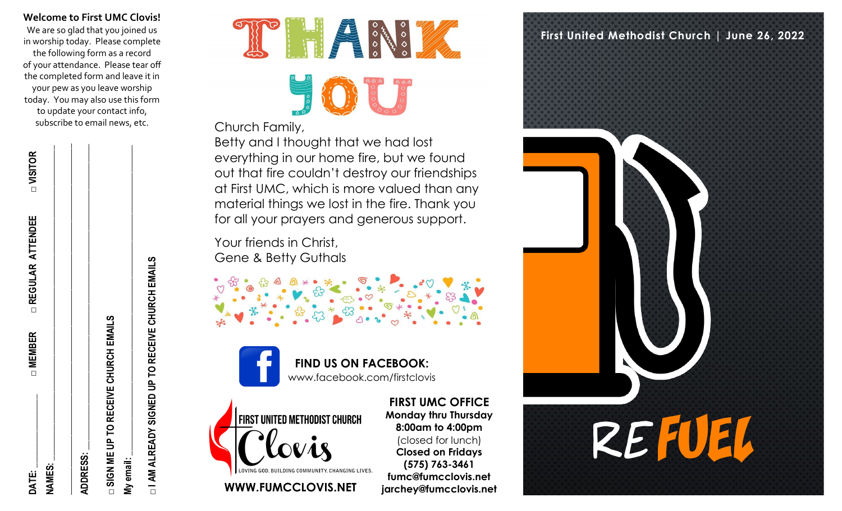**Welcome to First UMC Clovis!**

We are so glad that you joined us in worship today. Please complete the following form as a record of your attendance. Please tear off the completed form and leave it in your pew as you leave worship today. You may also use this form to update your contact info, subscribe to email news, etc.

| <b>DATE:</b>                          | □ MEMBER | □ REGULAR ATTENDEE | □ VISITOR |
|---------------------------------------|----------|--------------------|-----------|
| <b>NAMES:</b>                         |          |                    |           |
| <b>ADDRESS:</b>                       |          |                    |           |
| □ SIGN ME UP TO RECEIVE CHURCH EMAILS |          |                    |           |
| My email:                             |          |                    |           |

**□ I AM ALREADY SIGNED UP TO RECEIVE CHURCH EMAILS**  I AM ALREADY SIGNED UP TO RECEIVE CHURCH EMAILS



## Church Family,

Betty and I thought that we had lost everything in our home fire, but we found out that fire couldn't destroy our friendships at First UMC, which is more valued than any material things we lost in the fire. Thank you for all your prayers and generous support.

Your friends in Christ, Gene & Betty Guthals

> **FIND US ON FACEBOOK:**  www.facebook.com/firstclovis



**WWW.FUMCCLOVIS.NET jarchey@fumcclovis.net** 

**FIRST UMC OFFICE Monday thru Thursday 8:00am to 4:00pm**  (closed for lunch) **Closed on Fridays (575) 763-3461 fumc@fumcclovis.net**